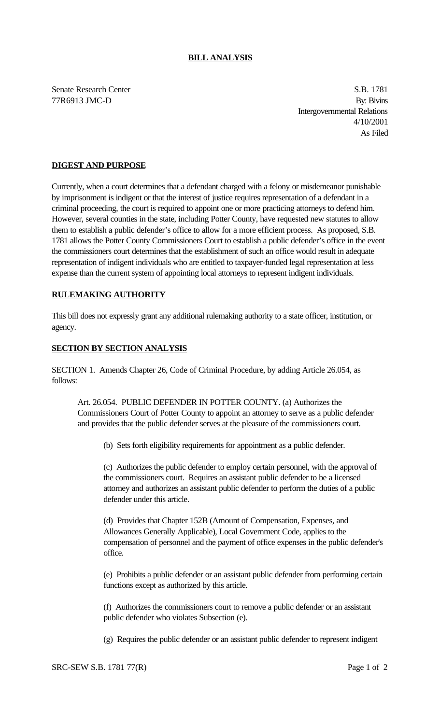## **BILL ANALYSIS**

Senate Research Center S.B. 1781 77R6913 JMC-D By: Bivins Intergovernmental Relations 4/10/2001 As Filed

## **DIGEST AND PURPOSE**

Currently, when a court determines that a defendant charged with a felony or misdemeanor punishable by imprisonment is indigent or that the interest of justice requires representation of a defendant in a criminal proceeding, the court is required to appoint one or more practicing attorneys to defend him. However, several counties in the state, including Potter County, have requested new statutes to allow them to establish a public defender's office to allow for a more efficient process. As proposed, S.B. 1781 allows the Potter County Commissioners Court to establish a public defender's office in the event the commissioners court determines that the establishment of such an office would result in adequate representation of indigent individuals who are entitled to taxpayer-funded legal representation at less expense than the current system of appointing local attorneys to represent indigent individuals.

## **RULEMAKING AUTHORITY**

This bill does not expressly grant any additional rulemaking authority to a state officer, institution, or agency.

## **SECTION BY SECTION ANALYSIS**

SECTION 1. Amends Chapter 26, Code of Criminal Procedure, by adding Article 26.054, as follows:

Art. 26.054. PUBLIC DEFENDER IN POTTER COUNTY. (a) Authorizes the Commissioners Court of Potter County to appoint an attorney to serve as a public defender and provides that the public defender serves at the pleasure of the commissioners court.

(b) Sets forth eligibility requirements for appointment as a public defender.

(c) Authorizes the public defender to employ certain personnel, with the approval of the commissioners court. Requires an assistant public defender to be a licensed attorney and authorizes an assistant public defender to perform the duties of a public defender under this article.

(d) Provides that Chapter 152B (Amount of Compensation, Expenses, and Allowances Generally Applicable), Local Government Code, applies to the compensation of personnel and the payment of office expenses in the public defender's office.

(e) Prohibits a public defender or an assistant public defender from performing certain functions except as authorized by this article.

(f) Authorizes the commissioners court to remove a public defender or an assistant public defender who violates Subsection (e).

(g) Requires the public defender or an assistant public defender to represent indigent